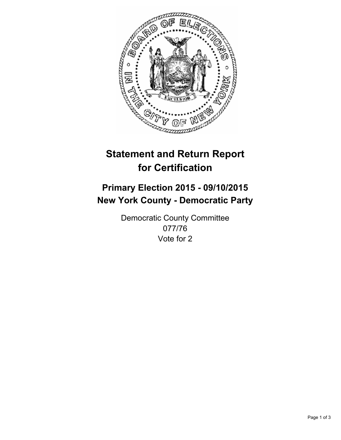

# **Statement and Return Report for Certification**

## **Primary Election 2015 - 09/10/2015 New York County - Democratic Party**

Democratic County Committee 077/76 Vote for 2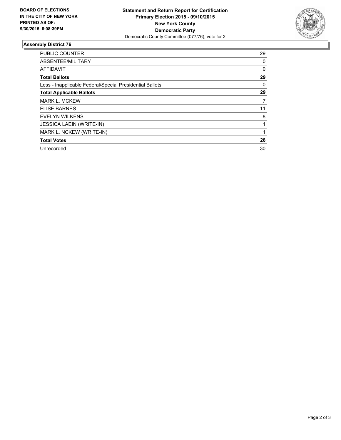

#### **Assembly District 76**

| <b>PUBLIC COUNTER</b>                                    | 29       |
|----------------------------------------------------------|----------|
| ABSENTEE/MILITARY                                        | 0        |
| <b>AFFIDAVIT</b>                                         | $\Omega$ |
| <b>Total Ballots</b>                                     | 29       |
| Less - Inapplicable Federal/Special Presidential Ballots | 0        |
| <b>Total Applicable Ballots</b>                          | 29       |
| <b>MARK L. MCKEW</b>                                     | 7        |
| <b>ELISE BARNES</b>                                      | 11       |
| <b>EVELYN WILKENS</b>                                    | 8        |
| <b>JESSICA LAEIN (WRITE-IN)</b>                          |          |
| MARK L. NCKEW (WRITE-IN)                                 |          |
| <b>Total Votes</b>                                       | 28       |
| Unrecorded                                               | 30       |